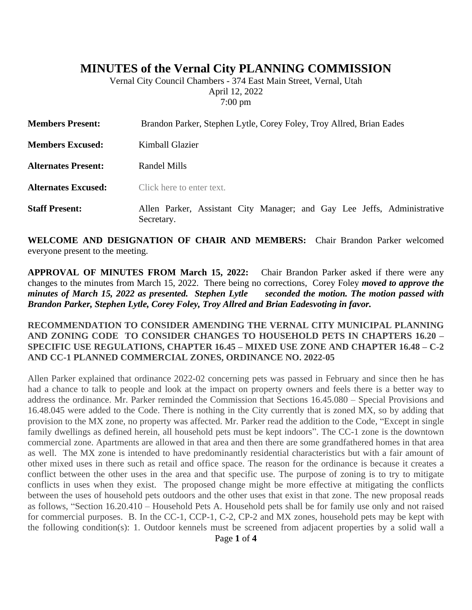# **MINUTES of the Vernal City PLANNING COMMISSION**

Vernal City Council Chambers - 374 East Main Street, Vernal, Utah April 12, 2022 7:00 pm

| <b>Members Present:</b>    | Brandon Parker, Stephen Lytle, Corey Foley, Troy Allred, Brian Eades                  |
|----------------------------|---------------------------------------------------------------------------------------|
| <b>Members Excused:</b>    | Kimball Glazier                                                                       |
| <b>Alternates Present:</b> | Randel Mills                                                                          |
| <b>Alternates Excused:</b> | Click here to enter text.                                                             |
| <b>Staff Present:</b>      | Allen Parker, Assistant City Manager; and Gay Lee Jeffs, Administrative<br>Secretary. |

**WELCOME AND DESIGNATION OF CHAIR AND MEMBERS:** Chair Brandon Parker welcomed everyone present to the meeting.

**APPROVAL OF MINUTES FROM March 15, 2022:** Chair Brandon Parker asked if there were any changes to the minutes from March 15, 2022. There being no corrections, Corey Foley *moved to approve the minutes of March 15, 2022 as presented. Stephen Lytle seconded the motion. The motion passed with Brandon Parker, Stephen Lytle, Corey Foley, Troy Allred and Brian Eadesvoting in favor.*

#### **RECOMMENDATION TO CONSIDER AMENDING THE VERNAL CITY MUNICIPAL PLANNING AND ZONING CODE TO CONSIDER CHANGES TO HOUSEHOLD PETS IN CHAPTERS 16.20 – SPECIFIC USE REGULATIONS, CHAPTER 16.45 – MIXED USE ZONE AND CHAPTER 16.48 – C-2 AND CC-1 PLANNED COMMERCIAL ZONES, ORDINANCE NO. 2022-05**

Allen Parker explained that ordinance 2022-02 concerning pets was passed in February and since then he has had a chance to talk to people and look at the impact on property owners and feels there is a better way to address the ordinance. Mr. Parker reminded the Commission that Sections 16.45.080 – Special Provisions and 16.48.045 were added to the Code. There is nothing in the City currently that is zoned MX, so by adding that provision to the MX zone, no property was affected. Mr. Parker read the addition to the Code, "Except in single family dwellings as defined herein, all household pets must be kept indoors". The CC-1 zone is the downtown commercial zone. Apartments are allowed in that area and then there are some grandfathered homes in that area as well. The MX zone is intended to have predominantly residential characteristics but with a fair amount of other mixed uses in there such as retail and office space. The reason for the ordinance is because it creates a conflict between the other uses in the area and that specific use. The purpose of zoning is to try to mitigate conflicts in uses when they exist. The proposed change might be more effective at mitigating the conflicts between the uses of household pets outdoors and the other uses that exist in that zone. The new proposal reads as follows, "Section 16.20.410 – Household Pets A. Household pets shall be for family use only and not raised for commercial purposes. B. In the CC-1, CCP-1, C-2, CP-2 and MX zones, household pets may be kept with the following condition(s): 1. Outdoor kennels must be screened from adjacent properties by a solid wall a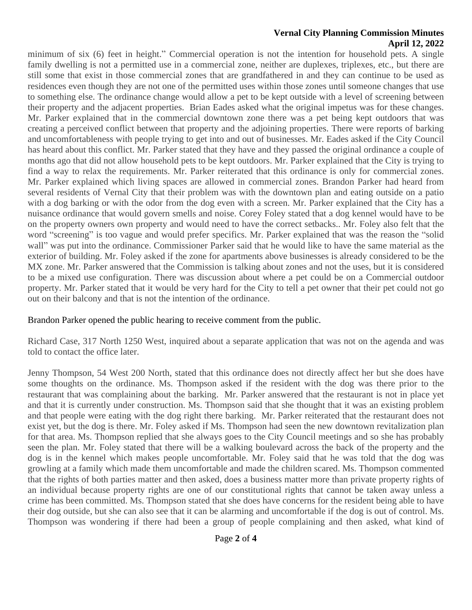#### **Vernal City Planning Commission Minutes April 12, 2022**

minimum of six (6) feet in height." Commercial operation is not the intention for household pets. A single family dwelling is not a permitted use in a commercial zone, neither are duplexes, triplexes, etc., but there are still some that exist in those commercial zones that are grandfathered in and they can continue to be used as residences even though they are not one of the permitted uses within those zones until someone changes that use to something else. The ordinance change would allow a pet to be kept outside with a level of screening between their property and the adjacent properties. Brian Eades asked what the original impetus was for these changes. Mr. Parker explained that in the commercial downtown zone there was a pet being kept outdoors that was creating a perceived conflict between that property and the adjoining properties. There were reports of barking and uncomfortableness with people trying to get into and out of businesses. Mr. Eades asked if the City Council has heard about this conflict. Mr. Parker stated that they have and they passed the original ordinance a couple of months ago that did not allow household pets to be kept outdoors. Mr. Parker explained that the City is trying to find a way to relax the requirements. Mr. Parker reiterated that this ordinance is only for commercial zones. Mr. Parker explained which living spaces are allowed in commercial zones. Brandon Parker had heard from several residents of Vernal City that their problem was with the downtown plan and eating outside on a patio with a dog barking or with the odor from the dog even with a screen. Mr. Parker explained that the City has a nuisance ordinance that would govern smells and noise. Corey Foley stated that a dog kennel would have to be on the property owners own property and would need to have the correct setbacks.. Mr. Foley also felt that the word "screening" is too vague and would prefer specifics. Mr. Parker explained that was the reason the "solid wall" was put into the ordinance. Commissioner Parker said that he would like to have the same material as the exterior of building. Mr. Foley asked if the zone for apartments above businesses is already considered to be the MX zone. Mr. Parker answered that the Commission is talking about zones and not the uses, but it is considered to be a mixed use configuration. There was discussion about where a pet could be on a Commercial outdoor property. Mr. Parker stated that it would be very hard for the City to tell a pet owner that their pet could not go out on their balcony and that is not the intention of the ordinance.

## Brandon Parker opened the public hearing to receive comment from the public.

Richard Case, 317 North 1250 West, inquired about a separate application that was not on the agenda and was told to contact the office later.

Jenny Thompson, 54 West 200 North, stated that this ordinance does not directly affect her but she does have some thoughts on the ordinance. Ms. Thompson asked if the resident with the dog was there prior to the restaurant that was complaining about the barking. Mr. Parker answered that the restaurant is not in place yet and that it is currently under construction. Ms. Thompson said that she thought that it was an existing problem and that people were eating with the dog right there barking. Mr. Parker reiterated that the restaurant does not exist yet, but the dog is there. Mr. Foley asked if Ms. Thompson had seen the new downtown revitalization plan for that area. Ms. Thompson replied that she always goes to the City Council meetings and so she has probably seen the plan. Mr. Foley stated that there will be a walking boulevard across the back of the property and the dog is in the kennel which makes people uncomfortable. Mr. Foley said that he was told that the dog was growling at a family which made them uncomfortable and made the children scared. Ms. Thompson commented that the rights of both parties matter and then asked, does a business matter more than private property rights of an individual because property rights are one of our constitutional rights that cannot be taken away unless a crime has been committed. Ms. Thompson stated that she does have concerns for the resident being able to have their dog outside, but she can also see that it can be alarming and uncomfortable if the dog is out of control. Ms. Thompson was wondering if there had been a group of people complaining and then asked, what kind of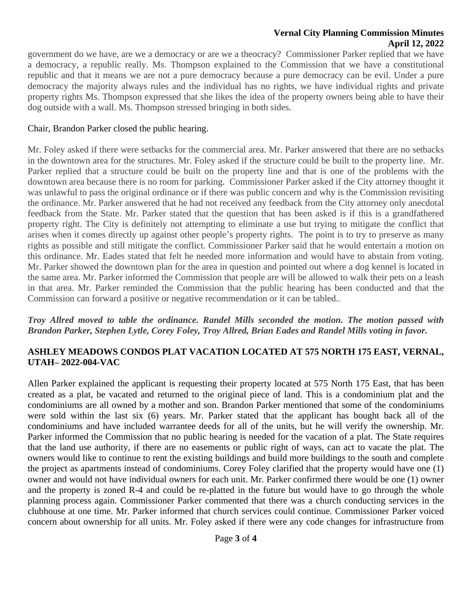#### **Vernal City Planning Commission Minutes April 12, 2022**

government do we have, are we a democracy or are we a theocracy? Commissioner Parker replied that we have a democracy, a republic really. Ms. Thompson explained to the Commission that we have a constitutional republic and that it means we are not a pure democracy because a pure democracy can be evil. Under a pure democracy the majority always rules and the individual has no rights, we have individual rights and private property rights Ms. Thompson expressed that she likes the idea of the property owners being able to have their dog outside with a wall. Ms. Thompson stressed bringing in both sides.

### Chair, Brandon Parker closed the public hearing.

Mr. Foley asked if there were setbacks for the commercial area. Mr. Parker answered that there are no setbacks in the downtown area for the structures. Mr. Foley asked if the structure could be built to the property line. Mr. Parker replied that a structure could be built on the property line and that is one of the problems with the downtown area because there is no room for parking. Commissioner Parker asked if the City attorney thought it was unlawful to pass the original ordinance or if there was public concern and why is the Commission revisiting the ordinance. Mr. Parker answered that he had not received any feedback from the City attorney only anecdotal feedback from the State. Mr. Parker stated that the question that has been asked is if this is a grandfathered property right. The City is definitely not attempting to eliminate a use but trying to mitigate the conflict that arises when it comes directly up against other people's property rights. The point is to try to preserve as many rights as possible and still mitigate the conflict. Commissioner Parker said that he would entertain a motion on this ordinance. Mr. Eades stated that felt he needed more information and would have to abstain from voting. Mr. Parker showed the downtown plan for the area in question and pointed out where a dog kennel is located in the same area. Mr. Parker informed the Commission that people are will be allowed to walk their pets on a leash in that area. Mr. Parker reminded the Commission that the public hearing has been conducted and that the Commission can forward a positive or negative recommendation or it can be tabled..

#### *Troy Allred moved to table the ordinance. Randel Mills seconded the motion. The motion passed with Brandon Parker, Stephen Lytle, Corey Foley, Troy Allred, Brian Eades and Randel Mills voting in favor.*

# **ASHLEY MEADOWS CONDOS PLAT VACATION LOCATED AT 575 NORTH 175 EAST, VERNAL, UTAH– 2022-004-VAC**

Allen Parker explained the applicant is requesting their property located at 575 North 175 East, that has been created as a plat, be vacated and returned to the original piece of land. This is a condominium plat and the condominiums are all owned by a mother and son. Brandon Parker mentioned that some of the condominiums were sold within the last six (6) years. Mr. Parker stated that the applicant has bought back all of the condominiums and have included warrantee deeds for all of the units, but he will verify the ownership. Mr. Parker informed the Commission that no public hearing is needed for the vacation of a plat. The State requires that the land use authority, if there are no easements or public right of ways, can act to vacate the plat. The owners would like to continue to rent the existing buildings and build more buildings to the south and complete the project as apartments instead of condominiums. Corey Foley clarified that the property would have one (1) owner and would not have individual owners for each unit. Mr. Parker confirmed there would be one (1) owner and the property is zoned R-4 and could be re-platted in the future but would have to go through the whole planning process again. Commissioner Parker commented that there was a church conducting services in the clubhouse at one time. Mr. Parker informed that church services could continue. Commissioner Parker voiced concern about ownership for all units. Mr. Foley asked if there were any code changes for infrastructure from